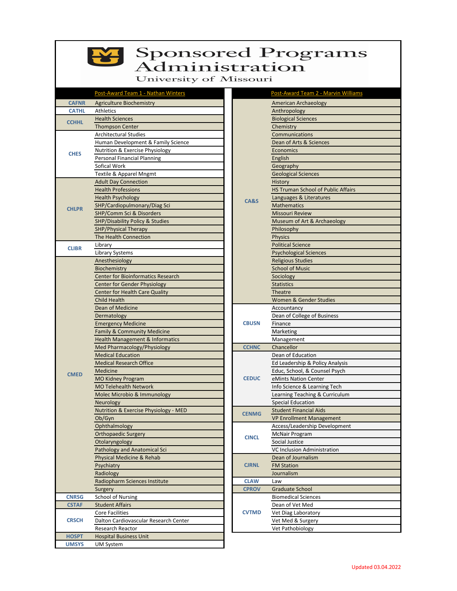

## Sponsored Programs

University of Missouri

|              | Post-Award Team 1 - Nathan Winters         |  |                 | Post-Award Team 2 - Marvin Williams       |
|--------------|--------------------------------------------|--|-----------------|-------------------------------------------|
| <b>CAFNR</b> | <b>Agriculture Biochemistry</b>            |  |                 | American Archaeology                      |
| <b>CATHL</b> | Athletics                                  |  |                 | Anthropology                              |
| <b>CCHHL</b> | <b>Health Sciences</b>                     |  |                 | <b>Biological Sciences</b>                |
|              | <b>Thompson Center</b>                     |  |                 | Chemistry                                 |
|              | <b>Architectural Studies</b>               |  |                 | Communications                            |
|              | Human Development & Family Science         |  |                 | Dean of Arts & Sciences                   |
|              | Nutrition & Exercise Physiology            |  |                 | Economics                                 |
| <b>CHES</b>  | <b>Personal Financial Planning</b>         |  |                 | English                                   |
|              | Sofical Work                               |  |                 | Geography                                 |
|              | Textile & Apparel Mngmt                    |  |                 | <b>Geological Sciences</b>                |
|              | <b>Adult Day Connection</b>                |  | <b>CA&amp;S</b> | History                                   |
|              | <b>Health Professions</b>                  |  |                 | <b>HS Truman School of Public Affairs</b> |
|              | <b>Health Psychology</b>                   |  |                 | Languages & Literatures                   |
|              | SHP/Cardiopulmonary/Diag Sci               |  |                 | <b>Mathematics</b>                        |
| <b>CHLPR</b> | <b>SHP/Comm Sci &amp; Disorders</b>        |  |                 | <b>Missouri Review</b>                    |
|              | <b>SHP/Disability Policy &amp; Studies</b> |  |                 | Museum of Art & Archaeology               |
|              |                                            |  |                 |                                           |
|              | SHP/Physical Therapy                       |  |                 | Philosophy                                |
|              | The Health Connection                      |  |                 | <b>Physics</b>                            |
| <b>CLIBR</b> | Library                                    |  |                 | <b>Political Science</b>                  |
|              | Library Systems                            |  |                 | <b>Psychological Sciences</b>             |
|              | Anesthesiology                             |  |                 | <b>Religious Studies</b>                  |
|              | Biochemistry                               |  |                 | <b>School of Music</b>                    |
|              | <b>Center for Bioinformatics Research</b>  |  |                 | Sociology                                 |
|              | <b>Center for Gender Physiology</b>        |  |                 | <b>Statistics</b>                         |
|              | <b>Center for Health Care Quality</b>      |  |                 | <b>Theatre</b>                            |
|              | <b>Child Health</b>                        |  |                 | Women & Gender Studies                    |
|              | Dean of Medicine                           |  | <b>CBUSN</b>    | Accountancy                               |
|              | Dermatology                                |  |                 | Dean of College of Business               |
|              | <b>Emergency Medicine</b>                  |  |                 | Finance                                   |
|              | Family & Community Medicine                |  |                 | Marketing                                 |
|              | <b>Health Management &amp; Informatics</b> |  |                 | Management                                |
|              | Med Pharmacology/Physiology                |  | <b>CCHNC</b>    | Chancellor                                |
|              | <b>Medical Education</b>                   |  |                 | Dean of Education                         |
|              | <b>Medical Research Office</b>             |  |                 | Ed Leadership & Policy Analysis           |
|              | Medicine                                   |  |                 | Educ, School, & Counsel Psych             |
| <b>CMED</b>  | <b>MO Kidney Program</b>                   |  | <b>CEDUC</b>    | eMints Nation Center                      |
|              | <b>MO Telehealth Network</b>               |  |                 | Info Science & Learning Tech              |
|              | Molec Microbio & Immunology                |  |                 | Learning Teaching & Curriculum            |
|              | Neurology                                  |  |                 | <b>Special Education</b>                  |
|              | Nutrition & Exercise Physiology - MED      |  |                 | <b>Student Financial Aids</b>             |
|              | Ob/Gyn                                     |  | <b>CENMG</b>    | <b>VP Enrollment Management</b>           |
|              | Ophthalmology                              |  |                 | Access/Leadership Development             |
|              | <b>Orthopaedic Surgery</b>                 |  |                 | <b>McNair Program</b>                     |
|              | Otolaryngology                             |  | <b>CINCL</b>    | Social Justice                            |
|              | Pathology and Anatomical Sci               |  |                 | VC Inclusion Administration               |
|              |                                            |  |                 |                                           |
|              | Physical Medicine & Rehab                  |  |                 | Dean of Journalism                        |
|              | Psychiatry                                 |  | <b>CJRNL</b>    | <b>FM Station</b>                         |
|              | Radiology                                  |  |                 | Journalism                                |
|              | Radiopharm Sciences Institute              |  | <b>CLAW</b>     | Law                                       |
|              | Surgery                                    |  | <b>CPROV</b>    | <b>Graduate School</b>                    |
| <b>CNRSG</b> | <b>School of Nursing</b>                   |  |                 | <b>Biomedical Sciences</b>                |
| <b>CSTAF</b> | <b>Student Affairs</b>                     |  |                 | Dean of Vet Med                           |
| <b>CRSCH</b> | <b>Core Facilities</b>                     |  | <b>CVTMD</b>    | Vet Diag Laboratory                       |
|              | Dalton Cardiovascular Research Center      |  |                 | Vet Med & Surgery                         |
|              | Research Reactor                           |  |                 | Vet Pathobiology                          |
| <b>HOSPT</b> | <b>Hospital Business Unit</b>              |  |                 |                                           |
| <b>UMSYS</b> | UM System                                  |  |                 |                                           |
|              |                                            |  |                 |                                           |

|              | Post-Award Team 2 - Marvin Williams       |
|--------------|-------------------------------------------|
|              | American Archaeology                      |
|              | Anthropology                              |
|              | <b>Biological Sciences</b>                |
|              | Chemistry                                 |
|              | Communications                            |
|              | Dean of Arts & Sciences                   |
|              | Economics                                 |
|              | English                                   |
|              | Geography                                 |
|              | <b>Geological Sciences</b>                |
|              | History                                   |
|              | <b>HS Truman School of Public Affairs</b> |
| CA&S         | Languages & Literatures                   |
|              | <b>Mathematics</b>                        |
|              | <b>Missouri Review</b>                    |
|              | Museum of Art & Archaeology               |
|              | Philosophy                                |
|              | <b>Physics</b>                            |
|              | <b>Political Science</b>                  |
|              | <b>Psychological Sciences</b>             |
|              | <b>Religious Studies</b>                  |
|              | <b>School of Music</b>                    |
|              | Sociology                                 |
|              | <b>Statistics</b>                         |
|              | Theatre                                   |
|              | Women & Gender Studies                    |
|              | Accountancy                               |
|              | Dean of College of Business               |
| <b>CBUSN</b> | Finance                                   |
|              | Marketing                                 |
|              | Management                                |
| <b>CCHNC</b> | Chancellor                                |
|              | Dean of Education                         |
|              | Ed Leadership & Policy Analysis           |
|              | Educ, School, & Counsel Psych             |
| <b>CEDUC</b> | eMints Nation Center                      |
|              | Info Science & Learning Tech              |
|              | Learning Teaching & Curriculum            |
|              | <b>Special Education</b>                  |
| <b>CENMG</b> | <b>Student Financial Aids</b>             |
|              | <b>VP Enrollment Management</b>           |
|              | Access/Leadership Development             |
| <b>CINCL</b> | McNair Program                            |
|              | Social Justice                            |
|              | VC Inclusion Administration               |
|              | Dean of Journalism                        |
| <b>CJRNL</b> | <b>FM Station</b>                         |
|              | Journalism                                |
| <b>CLAW</b>  | Law                                       |
| <b>CPROV</b> | Graduate School                           |
|              | <b>Biomedical Sciences</b>                |
| <b>CVTMD</b> | Dean of Vet Med                           |
|              | Vet Diag Laboratory                       |
|              | Vet Med & Surgery                         |
|              | Vet Pathobiology                          |